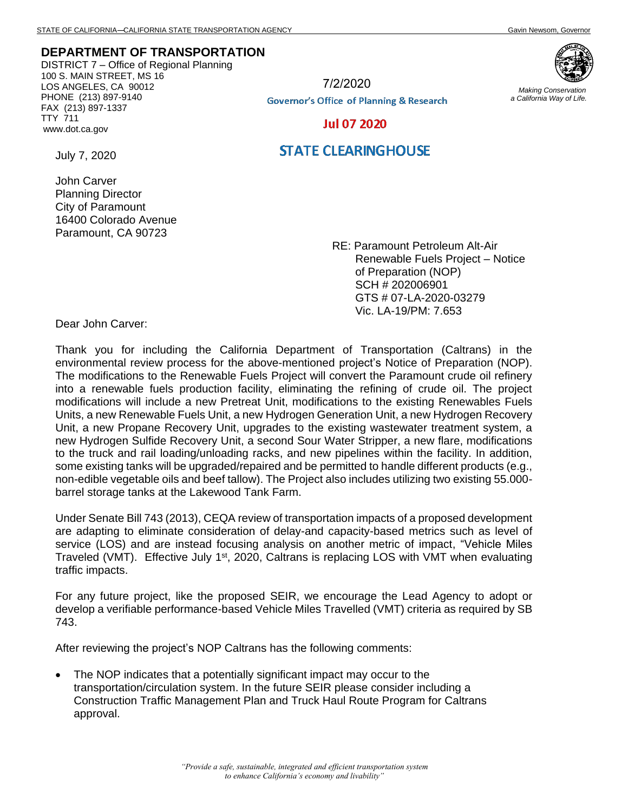## **DEPARTMENT OF TRANSPORTATION**

DISTRICT 7 – Office of Regional Planning 100 S. MAIN STREET, MS 16 LOS ANGELES, CA 90012 PHONE (213) 897-9140 FAX (213) 897-1337 TTY 711 www.dot.ca.gov



7/2/2020

**Governor's Office of Planning & Research** 

*Making Conservation a California Way of Life.*

**Jul 07 2020** 

## **STATE CLEARINGHOUSE**

July 7, 2020

John Carver Planning Director City of Paramount 16400 Colorado Avenue Paramount, CA 90723

> RE: Paramount Petroleum Alt-Air Renewable Fuels Project – Notice of Preparation (NOP) SCH # 202006901 GTS # 07-LA-2020-03279 Vic. LA-19/PM: 7.653

Dear John Carver:

Thank you for including the California Department of Transportation (Caltrans) in the environmental review process for the above-mentioned project's Notice of Preparation (NOP). The modifications to the Renewable Fuels Project will convert the Paramount crude oil refinery into a renewable fuels production facility, eliminating the refining of crude oil. The project modifications will include a new Pretreat Unit, modifications to the existing Renewables Fuels Units, a new Renewable Fuels Unit, a new Hydrogen Generation Unit, a new Hydrogen Recovery Unit, a new Propane Recovery Unit, upgrades to the existing wastewater treatment system, a new Hydrogen Sulfide Recovery Unit, a second Sour Water Stripper, a new flare, modifications to the truck and rail loading/unloading racks, and new pipelines within the facility. In addition, some existing tanks will be upgraded/repaired and be permitted to handle different products (e.g., non-edible vegetable oils and beef tallow). The Project also includes utilizing two existing 55.000 barrel storage tanks at the Lakewood Tank Farm.

Under Senate Bill 743 (2013), CEQA review of transportation impacts of a proposed development are adapting to eliminate consideration of delay-and capacity-based metrics such as level of service (LOS) and are instead focusing analysis on another metric of impact, "Vehicle Miles Traveled (VMT). Effective July 1<sup>st</sup>, 2020, Caltrans is replacing LOS with VMT when evaluating traffic impacts.

For any future project, like the proposed SEIR, we encourage the Lead Agency to adopt or develop a verifiable performance-based Vehicle Miles Travelled (VMT) criteria as required by SB 743.

After reviewing the project's NOP Caltrans has the following comments:

• The NOP indicates that a potentially significant impact may occur to the transportation/circulation system. In the future SEIR please consider including a Construction Traffic Management Plan and Truck Haul Route Program for Caltrans approval.